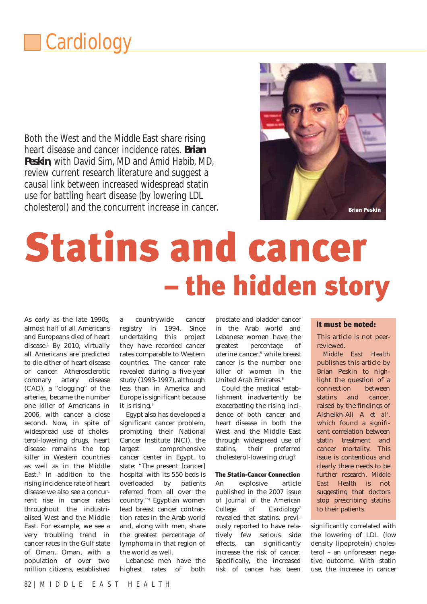## **Cardiology**

Both the West and the Middle East share rising heart disease and cancer incidence rates. **Brian Peskin**, with David Sim, MD and Amid Habib, MD, review current research literature and suggest a causal link between increased widespread statin use for battling heart disease (by lowering LDL cholesterol) and the concurrent increase in cancer. Bright and the strian Peskin



# Statins and cancer – the hidden story

As early as the late 1990s, almost half of all Americans and Europeans died of heart disease.<sup>1</sup> By 2010, virtually all Americans are predicted to die either of heart disease or cancer. Atherosclerotic coronary artery disease (CAD), a "clogging" of the arteries, became the number one killer of Americans in 2006, with cancer a close second. Now, in spite of widespread use of cholesterol-lowering drugs, heart disease remains the top killer in Western countries as well as in the Middle East.<sup>2</sup> In addition to the rising incidence rate of heart disease we also see a concurrent rise in cancer rates throughout the industrialised West and the Middle East. For example, we see a very troubling trend in cancer rates in the Gulf state of Oman. Oman, with a population of over two million citizens, established

a countrywide cancer registry in 1994. Since undertaking this project they have recorded cancer rates comparable to Western countries. The cancer rate revealed during a five-year study (1993-1997), although less than in America and Europe is significant because it is rising.<sup>3</sup>

Egypt also has developed a significant cancer problem, prompting their National Cancer Institute (NCI), the largest comprehensive cancer center in Egypt, to state: "The present [cancer] hospital with its 550 beds is overloaded by patients referred from all over the country."4 Egyptian women lead breast cancer contraction rates in the Arab world and, along with men, share the greatest percentage of lymphoma in that region of the world as well.

Lebanese men have the highest rates of both

prostate and bladder cancer in the Arab world and Lebanese women have the greatest percentage of uterine cancer,<sup>5</sup> while breast cancer is the number one killer of women in the United Arab Emirates.<sup>6</sup>

Could the medical establishment inadvertently be exacerbating the rising incidence of both cancer and heart disease in both the West and the Middle East through widespread use of statins, their preferred cholesterol-lowering drug?

#### The Statin-Cancer Connection

An explosive article published in the 2007 issue of *Journal of the American College of Cardiology*<sup>7</sup> revealed that statins, previously reported to have relatively few serious side effects, can significantly increase the risk of cancer. Specifically, the increased risk of cancer has been

#### It must be noted:

This article is not peerreviewed.

*Middle East Health* publishes this article by Brian Peskin to highlight the question of a connection between statins and cancer, raised by the findings of Alsheikh-Ali A *et al*<sup>7</sup> , which found a significant correlation between statin treatment and cancer mortality. This issue is contentious and clearly there needs to be further research. *Middle East Health* is not suggesting that doctors stop prescribing statins to their patients.

significantly correlated with the lowering of LDL (low density lipoprotein) cholesterol – an unforeseen negative outcome. With statin use, the increase in cancer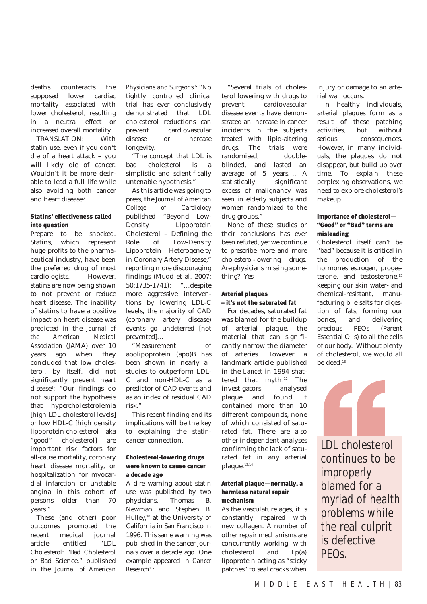deaths counteracts the supposed lower cardiac mortality associated with lower cholesterol, resulting in a neutral effect or increased overall mortality.

TRANSLATION: With statin use, even if you don't die of a heart attack – you will likely die of cancer. Wouldn't it be more desirable to lead a full life while also avoiding both cancer and heart disease?

#### Statins' effectiveness called into question

Prepare to be shocked. Statins, which represent huge profits to the pharmaceutical industry, have been the preferred drug of most cardiologists. However, statins are now being shown to not prevent or reduce heart disease. The inability of statins to have a positive impact on heart disease was predicted in the *Journal of the American Medical Association* (JAMA) over 10 years ago when they concluded that low cholesterol, by itself, did not significantly prevent heart disease<sup>8</sup>: "Our findings do not support the hypothesis that hypercholesterolemia [high LDL cholesterol levels] or low HDL-C [high density lipoprotein cholesterol – aka "good" cholesterol] are important risk factors for all-cause mortality, coronary heart disease mortality, or hospitalization for myocardial infarction or unstable angina in this cohort of persons older than 70 years."

These (and other) poor outcomes prompted the recent medical journal article entitled "LDL Cholesterol: "Bad Cholesterol or Bad Science," published in the *Journal of American*

*Physicians and Surgeons*<sup>9</sup>: "No tightly controlled clinical trial has ever conclusively demonstrated that LDL cholesterol reductions can prevent cardiovascular disease or increase longevity.

"The concept that LDL is bad cholesterol is a simplistic and scientifically untenable hypothesis."

As this article was going to press, the *Journal of American College of Cardiology* published "Beyond Low-Density Lipoprotein Cholesterol – Defining the Role of Low-Density Lipoprotein Heterogeneity in Coronary Artery Disease," reporting more discouraging findings (Mudd et al, 2007; 50:1735-1741): "…despite more aggressive interventions by lowering LDL-C levels, the majority of CAD (coronary artery disease) events go undeterred [not prevented]…

"Measurement of apolipoprotein (apo)B has been shown in nearly all studies to outperform LDL-C and non-HDL-C as a predictor of CAD events and as an index of residual CAD risk."

This recent finding and its implications will be the key to explaining the statincancer connection.

#### Cholesterol-lowering drugs were known to cause cancer a decade ago

A dire warning about statin use was published by two physicians, Thomas B. Newman and Stephen B. Hulley,10 at the University of California in San Francisco in 1996. This same warning was published in the cancer journals over a decade ago. One example appeared in *Cancer Research*11:

"Several trials of cholesterol lowering with drugs to prevent cardiovascular disease events have demonstrated an increase in cancer incidents in the subjects treated with lipid-altering drugs. The trials were randomised, doubleblinded, and lasted an average of 5 years…. A statistically significant excess of malignancy was seen in elderly subjects and women randomized to the drug groups."

None of these studies or their conclusions has ever been refuted, yet we continue to prescribe more and more cholesterol-lowering drugs. Are physicians missing something? Yes.

#### Arterial plaques – it's not the saturated fat

For decades, saturated fat was blamed for the buildup of arterial plaque, the material that can significantly narrow the diameter of arteries. However, a landmark article published in the *Lancet* in 1994 shattered that myth.<sup>12</sup> The investigators analysed plaque and found it contained more than 10 different compounds, none of which consisted of saturated fat. There are also other independent analyses confirming the lack of saturated fat in any arterial plaque.<sup>13,14</sup>

#### Arterial plaque—normally, a harmless natural repair mechanism

As the vasculature ages, it is constantly repaired with new collagen. A number of other repair mechanisms are concurrently working, with cholesterol and Lp(a) lipoprotein acting as "sticky patches" to seal cracks when

injury or damage to an arterial wall occurs.

In healthy individuals, arterial plaques form as a result of these patching activities, but without serious consequences. However, in many individuals, the plaques do not disappear, but build up over time. To explain these perplexing observations, we need to explore cholesterol's makeup.

#### Importance of cholesterol— "Good" or "Bad" terms are misleading

Cholesterol itself can't be "bad" because it is critical in the production of the hormones estrogen, progesterone, and testosterone,<sup>15</sup> keeping our skin water- and chemical-resistant, manufacturing bile salts for digestion of fats, forming our bones, and delivering precious PEOs (Parent Essential Oils) to all the cells of our body. Without plenty of cholesterol, we would all be dead.16



LDL cholesterol continues to be improperly blamed for a myriad of health problems while the real culprit is defective PEOs.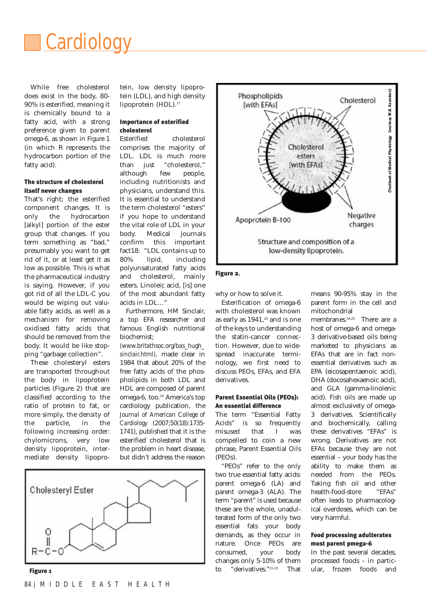

While free cholesterol does exist in the body, 80- 90% is esterified, meaning it is chemically bound to a fatty acid, with a strong preference given to parent omega-6, as shown in Figure 1 (in which R represents the hydrocarbon portion of the fatty acid).

#### The structure of cholesterol itself never changes

That's right; the esterified component changes. It is only the hydrocarbon [alkyl] portion of the ester group that changes. If you term something as "bad," presumably you want to get rid of it, or at least get it as low as possible. This is what the pharmaceutical industry is saying. However, if you got rid of all the LDL-C you would be wiping out valuable fatty acids, as well as a mechanism for removing oxidised fatty acids that should be removed from the body. It would be like stopping "garbage collection".

These cholesteryl esters are transported throughout the body in lipoprotein particles (Figure 2) that are classified according to the ratio of protein to fat, or more simply, the density of the particle, in the following increasing order: chylomicrons, very low density lipoprotein, intermediate density lipoprotein, low density lipoprotein (LDL), and high density lipoprotein (HDL).<sup>17</sup>

#### Importance of esterified cholesterol

Esterified cholesterol comprises the majority of LDL. LDL is much more than just "cholesterol," although few people, including nutritionists and physicians, understand this. It is essential to understand the term cholesterol "esters" if you hope to understand the vital role of LDL in your body. Medical journals confirm this important fact18: "LDL contains up to 80% lipid, including polyunsaturated fatty acids and cholesterol, mainly esters. Linoleic acid, [is] one of the most abundant fatty acids in LDL…"

Furthermore, HM Sinclair, a top EFA researcher and famous English nutritional biochemist;

*(www.britathsoc.org/bas\_hugh\_ sinclair.html)*, made clear in 1984 that about 20% of the free fatty acids of the phospholipids in both LDL and HDL are composed of parent omega-6, too.<sup>19</sup> America's top cardiology publication, the *Journal of American College of Cardiology* (2007;50(18):1735- 1741), published that it is the esterified cholesterol that is the problem in heart disease, but didn't address the reason



Figure 1



Phospholipids

[with EFAs]

why or how to solve it.

Esterification of omega-6 with cholesterol was known as early as  $1941$ ,<sup>20</sup> and is one of the keys to understanding the statin-cancer connection. However, due to widespread inaccurate terminology, we first need to discuss PEOs, EFAs, and EFA derivatives.

#### Parent Essential Oils (PEOs): An essential difference

The term "Essential Fatty Acids" is so frequently misused that I was compelled to coin a new phrase, Parent Essential Oils (PEOs).

"PEOs" refer to the only two true essential fatty acids: parent omega-6 (LA) and parent omega-3 (ALA). The term "parent" is used because these are the whole, unadulterated form of the only two essential fats your body demands, as they occur in nature. Once PEOs are consumed, your body changes only 5-10% of them to "derivatives."21-23 That means 90-95% stay in the parent form in the cell and mitochondrial

Textbook of Medical Physiology Courtesy W.B. Saunders) (Textbook of Medical Physiology Courtesy W.B. Saunders)

Cholesterol

membranes.<sup>24,25</sup> There are a host of omega-6 and omega-3 derivative-based oils being marketed to physicians as EFAs that are in fact nonessential derivatives such as EPA (eicosapentaenoic acid), DHA (docosahexaenoic acid), and GLA (gamma-linolenic acid). Fish oils are made up almost exclusively of omega-3 derivatives. Scientifically and biochemically, calling these derivatives "EFAs" is wrong. Derivatives are not EFAs because they are not essential – your body has the ability to make them as needed from the PEOs. Taking fish oil and other health-food-store "EFAs" often leads to pharmacological overdoses, which can be very harmful.

#### Food processing adulterates most parent pmega-6

In the past several decades, processed foods – in particular, frozen foods and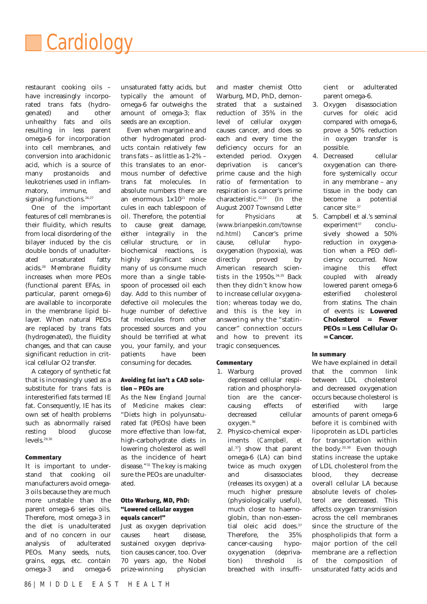

restaurant cooking oils – have increasingly incorporated trans fats (hydrogenated) and other unhealthy fats and oils resulting in less parent omega-6 for incorporation into cell membranes, and conversion into arachidonic acid, which is a source of many prostanoids and leukotrienes used in inflammatory, immune, and signaling functions.<sup>26,27</sup>

One of the important features of cell membranes is their fluidity, which results from local disordering of the bilayer induced by the cis double bonds of unadulterated unsaturated fatty acids.28 Membrane fluidity increases when more PEOs (functional parent EFAs, in particular, parent omega-6) are available to incorporate in the membrane lipid bilayer. When natural PEOs are replaced by trans fats (hydrogenated), the fluidity changes, and that can cause significant reduction in critical cellular O2 transfer.

A category of synthetic fat that is increasingly used as a substitute for trans fats is interesterified fats termed IE fat. Consequently, IE has its own set of health problems such as abnormally raised resting blood glucose levels.<sup>29,30</sup>

#### **Commentary**

It is important to understand that cooking oil manufacturers avoid omega-3 oils because they are much more unstable than the parent omega-6 series oils. Therefore, most omega-3 in the diet is unadulterated and of no concern in our analysis of adulterated PEOs. Many seeds, nuts, grains, eggs, etc. contain omega-3 and omega-6 unsaturated fatty acids, but typically the amount of omega-6 far outweighs the amount of omega-3; flax seeds are an exception.

Even when margarine and other hydrogenated products contain relatively few trans fats – as little as 1-2% – this translates to an enormous number of defective trans fat molecules. In absolute numbers there are an enormous  $1x10^{21}$  molecules in each tablespoon of oil. Therefore, the potential to cause great damage, either integrally in the cellular structure, or in biochemical reactions, is highly significant since many of us consume much more than a single tablespoon of processed oil each day. Add to this number of defective oil molecules the huge number of defective fat molecules from other processed sources and you should be terrified at what you, your family, and your patients have been consuming for decades.

#### Avoiding fat isn't a CAD solution – PEOs are

As the *New England Journal of Medicine* makes clear: "Diets high in polyunsaturated fat (PEOs) have been more effective than low-fat, high-carbohydrate diets in lowering cholesterol as well as the incidence of heart disease."31 The key is making sure the PEOs are unadulterated.

#### Otto Warburg, MD, PhD: "Lowered cellular oxygen equals cancer!"

Just as oxygen deprivation causes heart disease, sustained oxygen deprivation causes cancer, too. Over 70 years ago, the Nobel prize-winning physician and master chemist Otto Warburg, MD, PhD, demonstrated that a sustained reduction of 35% in the level of cellular oxygen causes cancer, and does so each and every time the deficiency occurs for an extended period. Oxygen deprivation is cancer's prime cause and the high ratio of fermentation to respiration is cancer's prime characteristic.32,33 (In the August 2007 *Townsend Letter for Physicians* at *(www.brianpeskin.com/townse nd.html)* Cancer's prime cause, cellular hypooxygenation (hypoxia), was directly proved by American research scientists in the  $1950s$ .<sup>34,35</sup> Back then they didn't know how to increase cellular oxygenation; whereas today we do, and this is the key in answering why the "statincancer" connection occurs and how to prevent its tragic consequences.

#### **Commentary**

- 1. Warburg proved depressed cellular respiration and phosphorylation are the cancercausing effects of decreased cellular oxygen.36
- 2. Physico-chemical experiments *(Campbell, et al.*37*)* show that parent omega-6 (LA) can bind twice as much oxygen and disassociates (releases its oxygen) at a much higher pressure (physiologically useful), much closer to haemoglobin, than non-essential oleic acid does.<sup>37</sup> Therefore, the 35% cancer-causing hypooxygenation (deprivation) threshold is breached with insuffi-

cient or adulterated parent omega-6.

- 3. Oxygen disassociation curves for oleic acid compared with omega-6, prove a 50% reduction in oxygen transfer is possible.
- 4. Decreased cellular oxygenation can therefore systemically occur in any membrane – any tissue in the body can become a potential cancer site.<sup>37</sup>
- 5. Campbell et al.'s seminal experiment<sup>37</sup> conclusively showed a 50% reduction in oxygenation when a PEO deficiency occurred. Now imagine this effect coupled with already lowered parent omega-6 esterified cholesterol from statins. The chain of events is: **Lowered Cholesterol = Fewer PEOs = Less Cellular O2 = Cancer.**

#### In summary

We have explained in detail that the common link between LDL cholesterol and decreased oxygenation occurs because cholesterol is esterified with large amounts of parent omega-6 before it is combined with lipoprotein as LDL particles for transportation within the body.20,38 Even though statins increase the uptake of LDL cholesterol from the blood, they decrease overall cellular LA because absolute levels of cholesterol are decreased. This affects oxygen transmission across the cell membranes since the structure of the phospholipids that form a major portion of the cell membrane are a reflection of the composition of unsaturated fatty acids and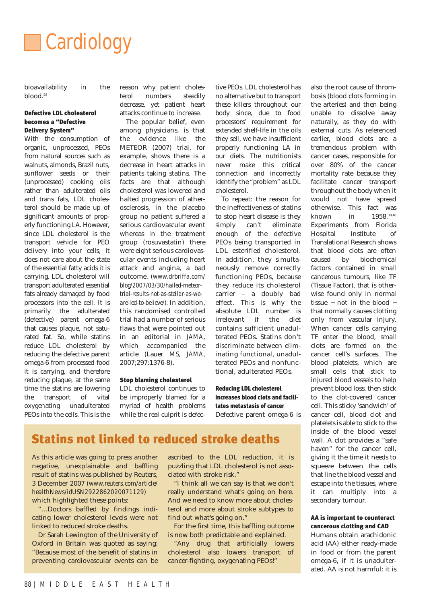

bioavailability in the blood.<sup>28</sup>

#### Defective LDL cholesterol becomes a "Defective Delivery System"

With the consumption of organic, unprocessed, PEOs from natural sources such as walnuts, almonds, Brazil nuts, sunflower seeds or their (unprocessed) cooking oils rather than adulterated oils and trans fats, LDL cholesterol should be made up of significant amounts of properly functioning LA. However, since LDL cholesterol is the transport vehicle for PEO delivery into your cells, it does not care about the state of the essential fatty acids it is carrying. LDL cholesterol will transport adulterated essential fats already damaged by food processors into the cell. It is primarily the adulterated (defective) parent omega-6 that causes plaque, not saturated fat. So, while statins reduce LDL cholesterol by reducing the defective parent omega-6 from processed food it is carrying, and therefore reducing plaque, at the same time the statins are lowering the transport of vital oxygenating unadulterated PEOs into the cells. This is the reason why patient cholesterol numbers steadily decrease, yet patient heart attacks continue to increase.

The popular belief, even among physicians, is that the evidence like the METEOR (2007) trial, for example, shows there is a decrease in heart attacks in patients taking statins. The facts are that although cholesterol was lowered and halted progression of atherosclerosis, in the placebo group no patient suffered a serious cardiovascular event whereas in the treatment group (rosuvastatin) there were eight serious cardiovascular events including heart attack and angina, a bad outcome. *(www.drbriffa.com/ blog/2007/03/30/hailed-meteortrial-results-not-as-stellar-as-weare-led-to-believe/).* In addition, this randomised controlled trial had a number of serious flaws that were pointed out in an editorial in *JAMA*, which accompanied the article (Lauer MS, *JAMA*, 2007;297:1376-8).

#### Stop blaming cholesterol

LDL cholesterol continues to be improperly blamed for a myriad of health problems while the real culprit is defective PEOs. LDL cholesterol has no alternative but to transport these killers throughout our body since, due to food processors' requirement for extended shelf-life in the oils they sell, we have insufficient properly functioning LA in our diets. The nutritionists never make this critical connection and incorrectly identify the "problem" as LDL cholesterol.

To repeat: the reason for the ineffectiveness of statins to stop heart disease is they simply can't eliminate enough of the defective PEOs being transported in LDL esterified cholesterol. In addition, they simultaneously remove correctly functioning PEOs, because they reduce its cholesterol carrier – a doubly bad effect. This is why the absolute LDL number is irrelevant if the diet contains sufficient unadulterated PEOs. Statins don't discriminate between eliminating functional, unadulterated PEOs and nonfunctional, adulterated PEOs.

#### Reducing LDL cholesterol increases blood clots and facilitates metastasis of cancer

Defective parent omega-6 is

the arteries) and then being unable to dissolve away naturally, as they do with external cuts. As referenced earlier, blood clots are a tremendous problem with cancer cases, responsible for over 80% of the cancer mortality rate because they facilitate cancer transport throughout the body when it would not have spread otherwise. This fact was known in 1958.<sup>39,40</sup> Experiments from Florida Hospital Institute of Translational Research shows that blood clots are often caused by biochemical factors contained in small cancerous tumours, like TF (Tissue Factor), that is otherwise found only in normal tissue − not in the blood − that normally causes clotting only from vascular injury. When cancer cells carrying TF enter the blood, small clots are formed on the cancer cell's surfaces. The blood platelets, which are small cells that stick to injured blood vessels to help prevent blood loss, then stick to the clot-covered cancer cell. This sticky 'sandwich' of cancer cell, blood clot and platelets is able to stick to the inside of the blood vessel wall. A clot provides a "safe haven" for the cancer cell, giving it the time it needs to squeeze between the cells that line the blood vessel and escape into the tissues, where it can multiply into a secondary tumour.

also the root cause of thrombosis (blood clots forming in

#### AA is important to counteract cancerous clotting and CAD

Humans obtain arachidonic acid (AA) either ready-made in food or from the parent omega-6, if it is unadulterated. AA is not harmful: it is

### Statins not linked to reduced stroke deaths

As this article was going to press another negative, unexplainable and baffling result of statins was published by Reuters, 3 December 2007 *(www.reuters.com/article/ healthNews/idUSN2922862020071129)* which highlighted these points:

"…Doctors baffled by findings indicating lower cholesterol levels were not linked to reduced stroke deaths.

Dr Sarah Lewington of the University of Oxford in Britain was quoted as saying: "Because most of the benefit of statins in preventing cardiovascular events can be

ascribed to the LDL reduction, it is puzzling that LDL cholesterol is not associated with stroke risk."

"I think all we can say is that we don't really understand what's going on here. And we need to know more about cholesterol and more about stroke subtypes to find out what's going on."

For the first time, this baffling outcome is now both predictable and explained.

"Any drug that artificially lowers cholesterol also lowers transport of cancer-fighting, oxygenating PEOs!"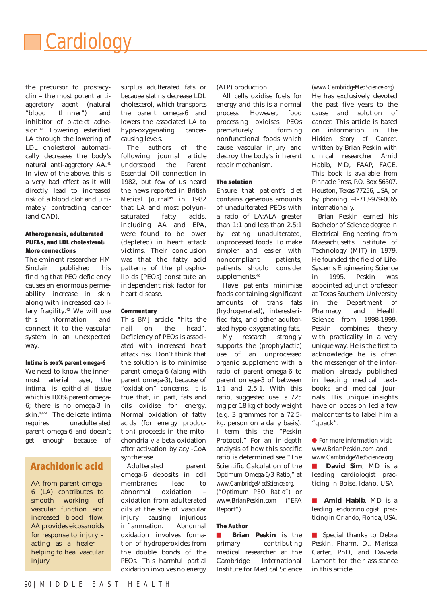

the precursor to prostacyclin – the most potent antiaggretory agent (natural "blood thinner") and inhibitor of platelet adhesion.<sup>41</sup> Lowering esterified LA through the lowering of LDL cholesterol automatically decreases the body's natural anti-aggretory AA.41 In view of the above, this is a very bad effect as it will directly lead to increased risk of a blood clot and ultimately contracting cancer (and CAD).

#### Atherogenesis, adulterated PUFAs, and LDL cholesterol: More connections

The eminent researcher HM Sinclair published his finding that PEO deficiency causes an enormous permeability increase in skin along with increased capillary fragility.<sup>42</sup> We will use this information and connect it to the vascular system in an unexpected way.

#### Intima is 100% parent omega-6

We need to know the innermost arterial layer, the intima, is epithelial tissue which is 100% parent omega-6; there is no omega-3 in skin.43,44 The delicate intima requires unadulterated parent omega-6 and doesn't get enough because of

#### Arachidonic acid

AA from parent omega-6 (LA) contributes to smooth working of vascular function and increased blood flow. AA provides eicosanoids for response to injury – acting as a healer – helping to heal vascular injury.

surplus adulterated fats or because statins decrease LDL cholesterol, which transports the parent omega-6 and lowers the associated LA to hypo-oxygenating, cancercausing levels.

The authors of the following journal article understood the Parent Essential Oil connection in 1982, but few of us heard the news reported in *British Medical Journal*<sup>45</sup> in 1982 that LA and most polyunsaturated fatty acids, including AA and EPA, were found to be lower (depleted) in heart attack victims. Their conclusion was that the fatty acid patterns of the phospholipids [PEOs] constitute an independent risk factor for heart disease.

#### **Commentary**

This *BMJ* article "hits the nail on the head". Deficiency of PEOs is associated with increased heart attack risk. Don't think that the solution is to minimise parent omega-6 (along with parent omega-3), because of "oxidation" concerns. It is true that, in part, fats and oils oxidise for energy. Normal oxidation of fatty acids (for energy production) proceeds in the mitochondria via beta oxidation after activation by acyl-CoA synthetase.

Adulterated parent omega-6 deposits in cell membranes lead to abnormal oxidation – oxidation from adulterated oils at the site of vascular injury causing injurious inflammation. Abnormal oxidation involves formation of hydroperoxides from the double bonds of the PEOs. This harmful partial oxidation involves no energy

(ATP) production.

All cells oxidise fuels for energy and this is a normal process. However, food processing oxidises PEOs prematurely forming nonfunctional foods which cause vascular injury and destroy the body's inherent repair mechanism.

#### The solution

Ensure that patient's diet contains generous amounts of unadulterated PEOs with a ratio of LA:ALA greater than 1:1 and less than 2.5:1 by eating unadulterated, unprocessed foods. To make simpler and easier with noncompliant patients, patients should consider supplements.<sup>46</sup>

Have patients minimise foods containing significant amounts of trans fats (hydrogenated), interesterified fats, and other adulterated hypo-oxygenating fats.

My research strongly supports the (prophylactic) use of an unprocessed organic supplement with a ratio of parent omega-6 to parent omega-3 of between 1:1 and 2.5:1. With this ratio, suggested use is 725 mg per 18 kg of body weight (e.g. 3 grammes for a 72.5 kg. person on a daily basis). I term this the "Peskin Protocol." For an in-depth analysis of how this specific ratio is determined see "The Scientific Calculation of the Optimum Omega-6/3 Ratio," at *www.CambridgeMedScience.org.*

*("Optimum PEO Ratio")* or *www.BrianPeskin.com* ("EFA Report").

#### The Author

■ **Brian Peskin** is the primary contributing medical researcher at the Cambridge International Institute for Medical Science

*(www.CambridgeMedScience.org)*. He has exclusively devoted the past five years to the cause and solution of cancer. This article is based on information in *The Hidden Story of Cancer*, written by Brian Peskin with clinical researcher Amid Habib, MD, FAAP, FACE. This book is available from Pinnacle Press, P.O. Box 56507, Houston, Texas 77256, USA, or by phoning +1-713-979-0065 internationally.

Brian Peskin earned his Bachelor of Science degree in Electrical Engineering from Massachusetts Institute of Technology (MIT) in 1979. He founded the field of Life-Systems Engineering Science in 1995. Peskin was appointed adjunct professor at Texas Southern University in the Department of Pharmacy and Health Science from 1998-1999. Peskin combines theory with practicality in a very unique way. He is the first to acknowledge he is often the messenger of the information already published in leading medical textbooks and medical journals. His unique insights have on occasion led a few malcontents to label him a "quack".

#### ● For more information visit *www.BrianPeskin.com* and *www.CambridgeMedScience.org.*

■ **David Sim**, MD is a leading cardiologist practicing in Boise, Idaho, USA.

■ **Amid Habib**, MD is a leading endocrinologist practicing in Orlando, Florida, USA.

■ Special thanks to Debra Peskin, Pharm. D., Marissa Carter, PhD, and Daveda Lamont for their assistance in this article.